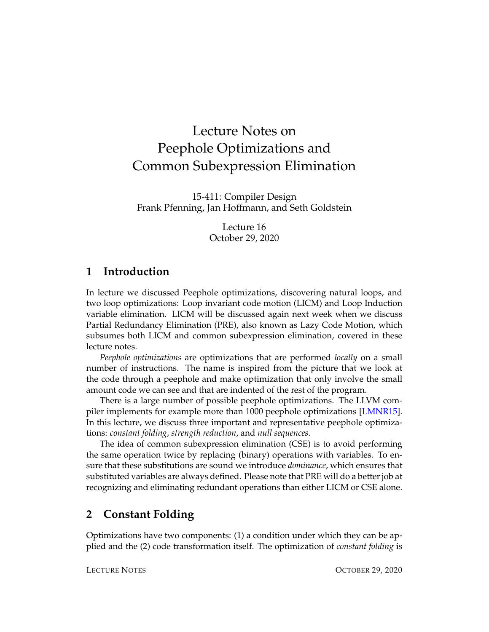# Lecture Notes on Peephole Optimizations and Common Subexpression Elimination

15-411: Compiler Design Frank Pfenning, Jan Hoffmann, and Seth Goldstein

> Lecture 16 October 29, 2020

# **1 Introduction**

In lecture we discussed Peephole optimizations, discovering natural loops, and two loop optimizations: Loop invariant code motion (LICM) and Loop Induction variable elimination. LICM will be discussed again next week when we discuss Partial Redundancy Elimination (PRE), also known as Lazy Code Motion, which subsumes both LICM and common subexpression elimination, covered in these lecture notes.

*Peephole optimizations* are optimizations that are performed *locally* on a small number of instructions. The name is inspired from the picture that we look at the code through a peephole and make optimization that only involve the small amount code we can see and that are indented of the rest of the program.

There is a large number of possible peephole optimizations. The LLVM com-piler implements for example more than 1000 peephole optimizations [\[LMNR15\]](#page-8-0). In this lecture, we discuss three important and representative peephole optimizations: *constant folding*, *strength reduction*, and *null sequences*.

The idea of common subexpression elimination (CSE) is to avoid performing the same operation twice by replacing (binary) operations with variables. To ensure that these substitutions are sound we introduce *dominance*, which ensures that substituted variables are always defined. Please note that PRE will do a better job at recognizing and eliminating redundant operations than either LICM or CSE alone.

# **2 Constant Folding**

Optimizations have two components: (1) a condition under which they can be applied and the (2) code transformation itself. The optimization of *constant folding* is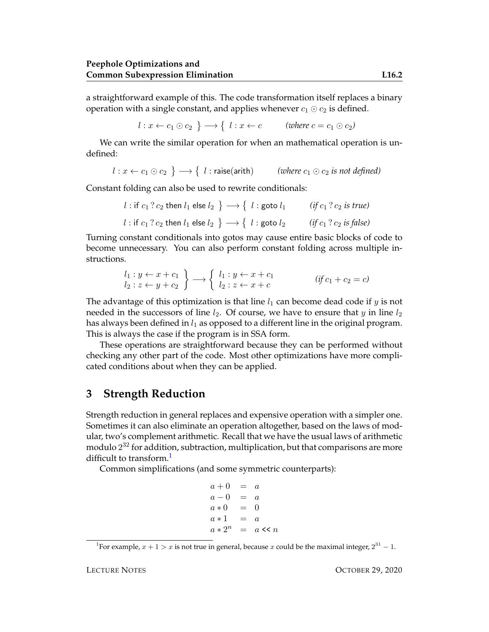a straightforward example of this. The code transformation itself replaces a binary operation with a single constant, and applies whenever  $c_1 \odot c_2$  is defined.

 $l: x \leftarrow c_1 \odot c_2 \ \}\longrightarrow \{\ \ l: x \leftarrow c \qquad \text{(where $c = c_1 \odot c_2$)}$ 

We can write the similar operation for when an mathematical operation is undefined:

$$
l: x \leftarrow c_1 \odot c_2 \rightarrow \{ l: \text{raise}(\text{arith}) \text{ (where } c_1 \odot c_2 \text{ is not defined)}
$$

Constant folding can also be used to rewrite conditionals:

$$
l: \text{if } c_1 ? c_2 \text{ then } l_1 \text{ else } l_2 \} \longrightarrow \{ l: \text{goto } l_1 \qquad (if c_1 ? c_2 \text{ is true})
$$
\n
$$
l: \text{if } c_1 ? c_2 \text{ then } l_1 \text{ else } l_2 \} \longrightarrow \{ l: \text{goto } l_2 \qquad (if c_1 ? c_2 \text{ is false})
$$

Turning constant conditionals into gotos may cause entire basic blocks of code to become unnecessary. You can also perform constant folding across multiple instructions.

$$
\begin{array}{c}\nl_1: y \leftarrow x + c_1 \\
l_2: z \leftarrow y + c_2\n\end{array}\right\} \longrightarrow \begin{cases}\nl_1: y \leftarrow x + c_1 \\
l_2: z \leftarrow x + c\n\end{cases} \qquad (if c_1 + c_2 = c)\n\end{cases}
$$

The advantage of this optimization is that line  $l_1$  can become dead code if y is not needed in the successors of line  $l_2$ . Of course, we have to ensure that y in line  $l_2$ has always been defined in  $l_1$  as opposed to a different line in the original program. This is always the case if the program is in SSA form.

These operations are straightforward because they can be performed without checking any other part of the code. Most other optimizations have more complicated conditions about when they can be applied.

### **3 Strength Reduction**

Strength reduction in general replaces and expensive operation with a simpler one. Sometimes it can also eliminate an operation altogether, based on the laws of modular, two's complement arithmetic. Recall that we have the usual laws of arithmetic modulo  $2^{32}$  for addition, subtraction, multiplication, but that comparisons are more difficult to transform.<sup>[1](#page-1-0)</sup>

Common simplifications (and some symmetric counterparts):

```
a + 0 = aa - 0 = aa * 0 = 0a * 1 = aa * 2^n = a \ll n
```
<span id="page-1-0"></span><sup>&</sup>lt;sup>1</sup>For example,  $x + 1 > x$  is not true in general, because x could be the maximal integer,  $2^{31} - 1$ .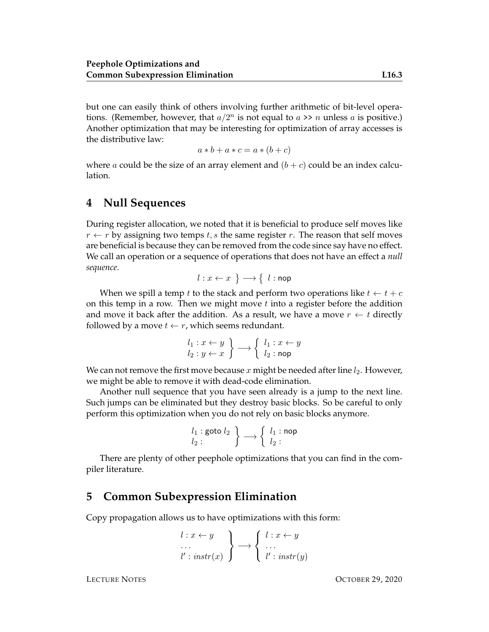but one can easily think of others involving further arithmetic of bit-level operations. (Remember, however, that  $a/2^n$  is not equal to  $a \gg n$  unless a is positive.) Another optimization that may be interesting for optimization of array accesses is the distributive law:

$$
a * b + a * c = a * (b + c)
$$

where a could be the size of an array element and  $(b + c)$  could be an index calculation.

## **4 Null Sequences**

During register allocation, we noted that it is beneficial to produce self moves like  $r \leftarrow r$  by assigning two temps t, s the same register r. The reason that self moves are beneficial is because they can be removed from the code since say have no effect. We call an operation or a sequence of operations that does not have an effect a *null sequence*.

$$
l: x \leftarrow x \rightarrow \{l: \text{nop}
$$

When we spill a temp t to the stack and perform two operations like  $t \leftarrow t + c$ on this temp in a row. Then we might move  $t$  into a register before the addition and move it back after the addition. As a result, we have a move  $r \leftarrow t$  directly followed by a move  $t \leftarrow r$ , which seems redundant.

$$
\begin{array}{l}\n l_1: x \leftarrow y \\
 l_2: y \leftarrow x\n \end{array}\n \rightarrow\n \begin{array}{l}\n l_1: x \leftarrow y \\
 l_2: \mathsf{nop}\n \end{array}
$$

We can not remove the first move because x might be needed after line  $l_2$ . However, we might be able to remove it with dead-code elimination.

Another null sequence that you have seen already is a jump to the next line. Such jumps can be eliminated but they destroy basic blocks. So be careful to only perform this optimization when you do not rely on basic blocks anymore.

$$
\begin{array}{c} l_1 : \text{goto } l_2 \\ l_2 : \end{array} \bigg\} \longrightarrow \left\{ \begin{array}{c} l_1 : \text{nop} \\ l_2 : \end{array} \right.
$$

There are plenty of other peephole optimizations that you can find in the compiler literature.

#### **5 Common Subexpression Elimination**

Copy propagation allows us to have optimizations with this form:

$$
\begin{array}{l}\n l: x \leftarrow y \\
 \dots \\
 l': instr(x)\n \end{array}\n \bigg\} \longrightarrow\n \begin{cases}\n l: x \leftarrow y \\
 \dots \\
 l': instr(y)\n \end{cases}
$$

LECTURE NOTES OCTOBER 29, 2020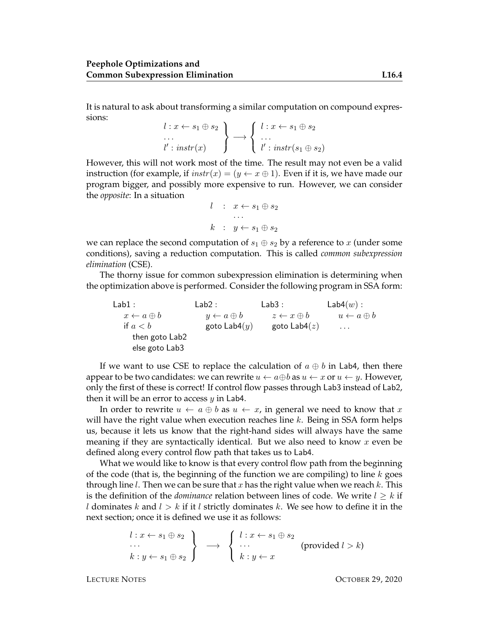It is natural to ask about transforming a similar computation on compound expressions:

$$
\begin{array}{l}\n l:x \leftarrow s_1 \oplus s_2 \\
 \ldots \\
 l': instr(x)\n \end{array}\n \rightarrow\n \begin{array}{l}\n l:x \leftarrow s_1 \oplus s_2 \\
 \ldots \\
 l': instr(s_1 \oplus s_2)\n \end{array}
$$

However, this will not work most of the time. The result may not even be a valid instruction (for example, if  $instr(x) = (y \leftarrow x \oplus 1)$ ). Even if it is, we have made our program bigger, and possibly more expensive to run. However, we can consider the *opposite*: In a situation

$$
l : x \leftarrow s_1 \oplus s_2
$$
  
...  

$$
k : y \leftarrow s_1 \oplus s_2
$$

we can replace the second computation of  $s_1 \oplus s_2$  by a reference to x (under some conditions), saving a reduction computation. This is called *common subexpression elimination* (CSE).

The thorny issue for common subexpression elimination is determining when the optimization above is performed. Consider the following program in SSA form:

 $Lab1:$  $x \leftarrow a \oplus b$ if  $a < b$ then goto Lab2 else goto Lab3 Lab<sub>2</sub> :  $y \leftarrow a \oplus b \qquad \qquad z \leftarrow x \oplus b$ goto  $\textsf{Lab4}(y)$ Lab3 : goto Lab $4(z)$  $Lab4(w)$ :  $u \leftarrow a \oplus b$ . . .

If we want to use CSE to replace the calculation of  $a \oplus b$  in Lab4, then there appear to be two candidates: we can rewrite  $u \leftarrow a \oplus b$  as  $u \leftarrow x$  or  $u \leftarrow y$ . However, only the first of these is correct! If control flow passes through Lab3 instead of Lab2, then it will be an error to access  $y$  in Lab4.

In order to rewrite  $u \leftarrow a \oplus b$  as  $u \leftarrow x$ , in general we need to know that x will have the right value when execution reaches line  $k$ . Being in SSA form helps us, because it lets us know that the right-hand sides will always have the same meaning if they are syntactically identical. But we also need to know  $x$  even be defined along every control flow path that takes us to Lab4.

What we would like to know is that every control flow path from the beginning of the code (that is, the beginning of the function we are compiling) to line  $k$  goes through line *l*. Then we can be sure that x has the right value when we reach  $k$ . This is the definition of the *dominance* relation between lines of code. We write  $l \geq k$  if l dominates k and  $l > k$  if it l strictly dominates k. We see how to define it in the next section; once it is defined we use it as follows:

$$
\begin{array}{c}\n l: x \leftarrow s_1 \oplus s_2 \\
 \cdots \\
 k: y \leftarrow s_1 \oplus s_2\n \end{array}\n \rightarrow \begin{array}{c}\n l: x \leftarrow s_1 \oplus s_2 \\
 \cdots \\
 k: y \leftarrow x\n \end{array}\n \quad (\text{provided } l > k)
$$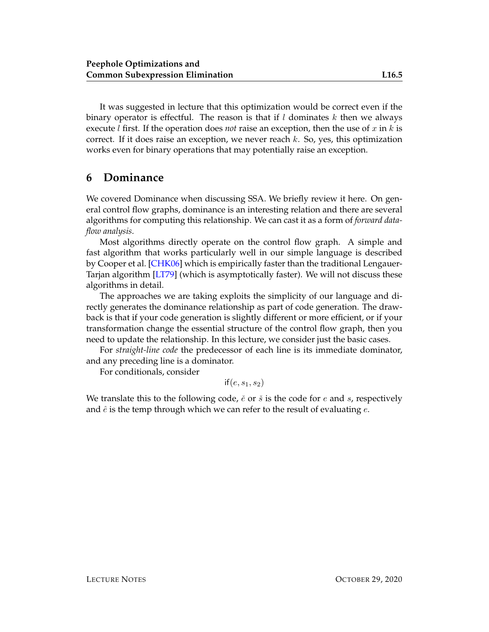It was suggested in lecture that this optimization would be correct even if the binary operator is effectful. The reason is that if  $l$  dominates  $k$  then we always execute *l* first. If the operation does *not* raise an exception, then the use of x in k is correct. If it does raise an exception, we never reach  $k$ . So, yes, this optimization works even for binary operations that may potentially raise an exception.

## **6 Dominance**

We covered Dominance when discussing SSA. We briefly review it here. On general control flow graphs, dominance is an interesting relation and there are several algorithms for computing this relationship. We can cast it as a form of *forward dataflow analysis*.

Most algorithms directly operate on the control flow graph. A simple and fast algorithm that works particularly well in our simple language is described by Cooper et al. [\[CHK06\]](#page-8-1) which is empirically faster than the traditional Lengauer-Tarjan algorithm [\[LT79\]](#page-8-2) (which is asymptotically faster). We will not discuss these algorithms in detail.

The approaches we are taking exploits the simplicity of our language and directly generates the dominance relationship as part of code generation. The drawback is that if your code generation is slightly different or more efficient, or if your transformation change the essential structure of the control flow graph, then you need to update the relationship. In this lecture, we consider just the basic cases.

For *straight-line code* the predecessor of each line is its immediate dominator, and any preceding line is a dominator.

For conditionals, consider

 $if(e, s_1, s_2)$ 

We translate this to the following code,  $\check{e}$  or  $\check{s}$  is the code for e and s, respectively and  $\hat{e}$  is the temp through which we can refer to the result of evaluating  $e$ .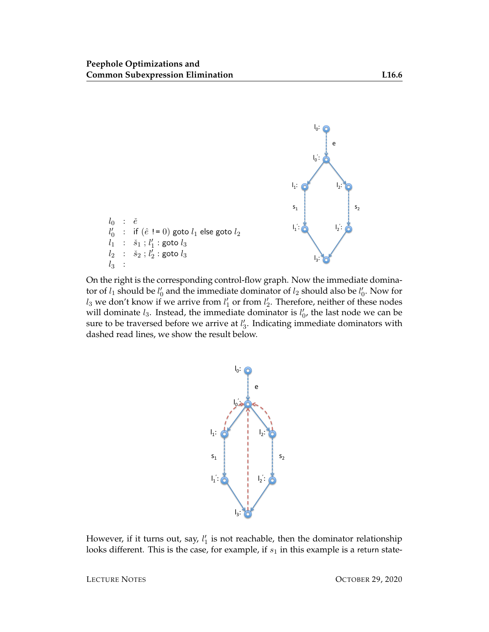

On the right is the corresponding control-flow graph. Now the immediate dominator of  $l_1$  should be  $l'_0$  and the immediate dominator of  $l_2$  should also be  $l'_0$ . Now for  $l_3$  we don't know if we arrive from  $l'_1$  or from  $l'_2$ . Therefore, neither of these nodes will dominate  $l_3$ . Instead, the immediate dominator is  $l'_0$ , the last node we can be sure to be traversed before we arrive at  $l'_3$ . Indicating immediate dominators with dashed read lines, we show the result below.



However, if it turns out, say,  $l_1'$  is not reachable, then the dominator relationship looks different. This is the case, for example, if  $s_1$  in this example is a return state-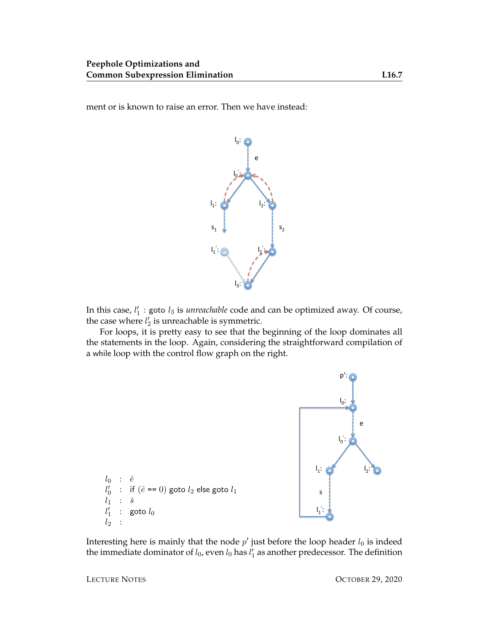ment or is known to raise an error. Then we have instead:



In this case,  $l'_1$  : goto  $l_3$  is *unreachable* code and can be optimized away. Of course, the case where  $l'_2$  is unreachable is symmetric.

For loops, it is pretty easy to see that the beginning of the loop dominates all the statements in the loop. Again, considering the straightforward compilation of a while loop with the control flow graph on the right.



Interesting here is mainly that the node  $p'$  just before the loop header  $l_0$  is indeed the immediate dominator of  $l_0$ , even  $l_0$  has  $l'_1$  as another predecessor. The definition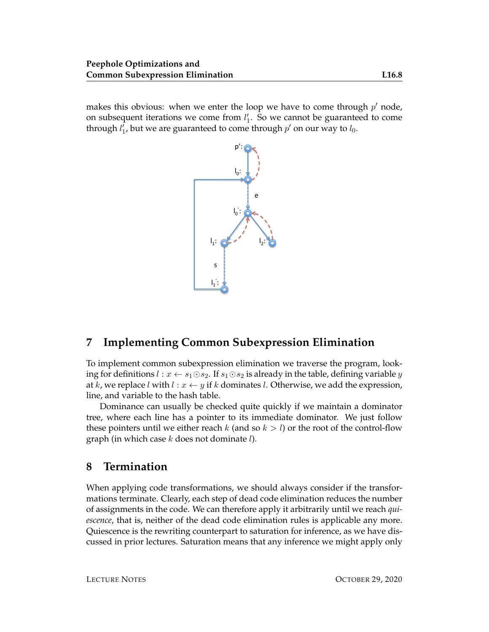makes this obvious: when we enter the loop we have to come through  $p'$  node, on subsequent iterations we come from  $l'_1$ . So we cannot be guaranteed to come through  $l_1'$ , but we are guaranteed to come through  $p'$  on our way to  $l_0$ .



# **7 Implementing Common Subexpression Elimination**

To implement common subexpression elimination we traverse the program, looking for definitions  $l : x \leftarrow s_1 \odot s_2$ . If  $s_1 \odot s_2$  is already in the table, defining variable y at k, we replace l with  $l : x \leftarrow y$  if k dominates l. Otherwise, we add the expression, line, and variable to the hash table.

Dominance can usually be checked quite quickly if we maintain a dominator tree, where each line has a pointer to its immediate dominator. We just follow these pointers until we either reach k (and so  $k > l$ ) or the root of the control-flow graph (in which case  $k$  does not dominate  $l$ ).

## **8 Termination**

When applying code transformations, we should always consider if the transformations terminate. Clearly, each step of dead code elimination reduces the number of assignments in the code. We can therefore apply it arbitrarily until we reach *quiescence*, that is, neither of the dead code elimination rules is applicable any more. Quiescence is the rewriting counterpart to saturation for inference, as we have discussed in prior lectures. Saturation means that any inference we might apply only